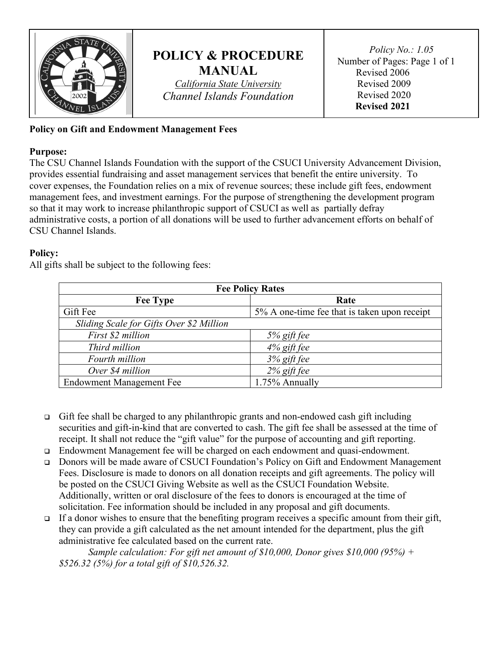

## **POLICY & PROCEDURE MANUAL**

*California State University Channel Islands Foundation*

 *Policy No.: 1.05* Number of Pages: Page 1 of 1 Revised 2006 Revised 2009 Revised 2020 **Revised 2021**

## **Policy on Gift and Endowment Management Fees**

## **Purpose:**

The CSU Channel Islands Foundation with the support of the CSUCI University Advancement Division, provides essential fundraising and asset management services that benefit the entire university. To cover expenses, the Foundation relies on a mix of revenue sources; these include gift fees, endowment management fees, and investment earnings. For the purpose of strengthening the development program so that it may work to increase philanthropic support of CSUCI as well as partially defray administrative costs, a portion of all donations will be used to further advancement efforts on behalf of CSU Channel Islands.

## **Policy:**

All gifts shall be subject to the following fees:

| <b>Fee Policy Rates</b>                  |                                              |
|------------------------------------------|----------------------------------------------|
| <b>Fee Type</b>                          | Rate                                         |
| Gift Fee                                 | 5% A one-time fee that is taken upon receipt |
| Sliding Scale for Gifts Over \$2 Million |                                              |
| First \$2 million                        | $5%$ gift fee                                |
| Third million                            | $4\%$ gift fee                               |
| Fourth million                           | $3\%$ gift fee                               |
| Over \$4 million                         | $2\%$ gift fee                               |
| <b>Endowment Management Fee</b>          | 1.75% Annually                               |

- Gift fee shall be charged to any philanthropic grants and non-endowed cash gift including securities and gift-in-kind that are converted to cash. The gift fee shall be assessed at the time of receipt. It shall not reduce the "gift value" for the purpose of accounting and gift reporting.
- Endowment Management fee will be charged on each endowment and quasi-endowment.
- Donors will be made aware of CSUCI Foundation's Policy on Gift and Endowment Management Fees. Disclosure is made to donors on all donation receipts and gift agreements. The policy will be posted on the CSUCI Giving Website as well as the CSUCI Foundation Website. Additionally, written or oral disclosure of the fees to donors is encouraged at the time of solicitation. Fee information should be included in any proposal and gift documents.
- If a donor wishes to ensure that the benefiting program receives a specific amount from their gift, they can provide a gift calculated as the net amount intended for the department, plus the gift administrative fee calculated based on the current rate.

*Sample calculation: For gift net amount of \$10,000, Donor gives \$10,000 (95%) + \$526.32 (5%) for a total gift of \$10,526.32.*